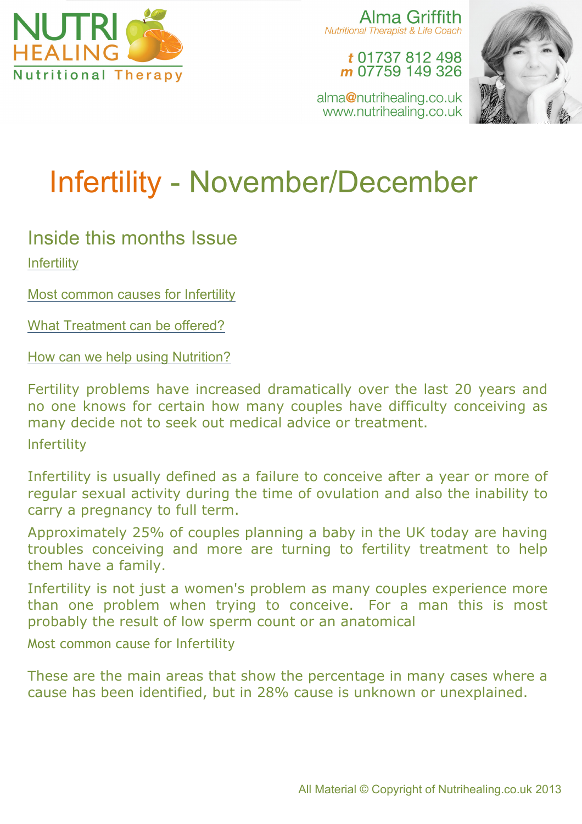

Alma Griffith Nutritional Therapist & Life Coach

> t 01737 812 498 m 07759 149 326



alma@nutrihealing.co.uk www.nutrihealing.co.uk

# Infertility - November/December

# Inside this months Issue **Infertility**

Most common causes for Infertility

What Treatment can be offered?

How can we help using Nutrition?

Fertility problems have increased dramatically over the last 20 years and no one knows for certain how many couples have difficulty conceiving as many decide not to seek out medical advice or treatment.

Infertility

Infertility is usually defined as a failure to conceive after a year or more of regular sexual activity during the time of ovulation and also the inability to carry a pregnancy to full term.

Approximately 25% of couples planning a baby in the UK today are having troubles conceiving and more are turning to fertility treatment to help them have a family.

Infertility is not just a women's problem as many couples experience more than one problem when trying to conceive. For a man this is most probably the result of low sperm count or an anatomical

Most common cause for Infertility

These are the main areas that show the percentage in many cases where a cause has been identified, but in 28% cause is unknown or unexplained.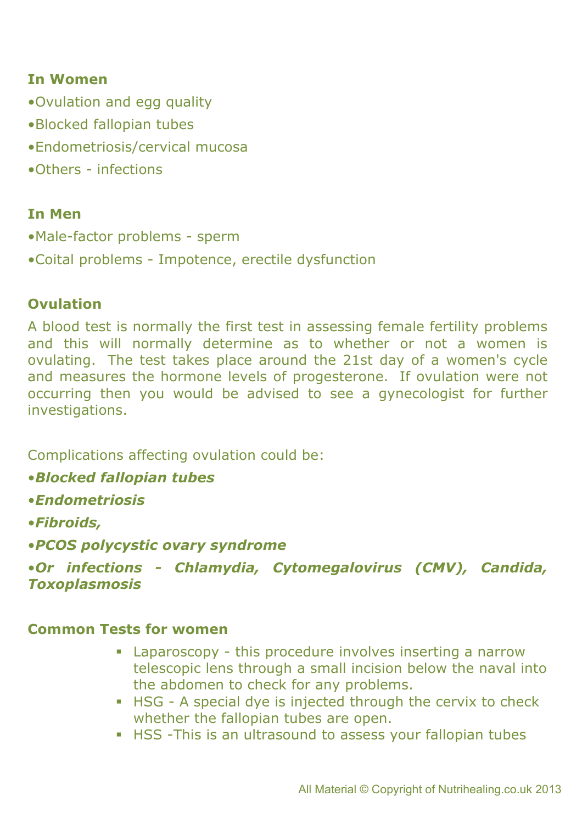### **In Women**

- •Ovulation and egg quality
- •Blocked fallopian tubes
- •Endometriosis/cervical mucosa
- •Others infections

#### **In Men**

- •Male-factor problems sperm
- •Coital problems Impotence, erectile dysfunction

#### **Ovulation**

A blood test is normally the first test in assessing female fertility problems and this will normally determine as to whether or not a women is ovulating. The test takes place around the 21st day of a women's cycle and measures the hormone levels of progesterone. If ovulation were not occurring then you would be advised to see a gynecologist for further investigations.

Complications affecting ovulation could be:

- •*Blocked fallopian tubes*
- •*Endometriosis*
- •*Fibroids,*
- •*PCOS polycystic ovary syndrome*

•*Or infections - Chlamydia, Cytomegalovirus (CMV), Candida, Toxoplasmosis*

#### **Common Tests for women**

- ! Laparoscopy this procedure involves inserting a narrow telescopic lens through a small incision below the naval into the abdomen to check for any problems.
- ! HSG A special dye is injected through the cervix to check whether the fallopian tubes are open.
- **EXELTE 15 FRS** -This is an ultrasound to assess your fallopian tubes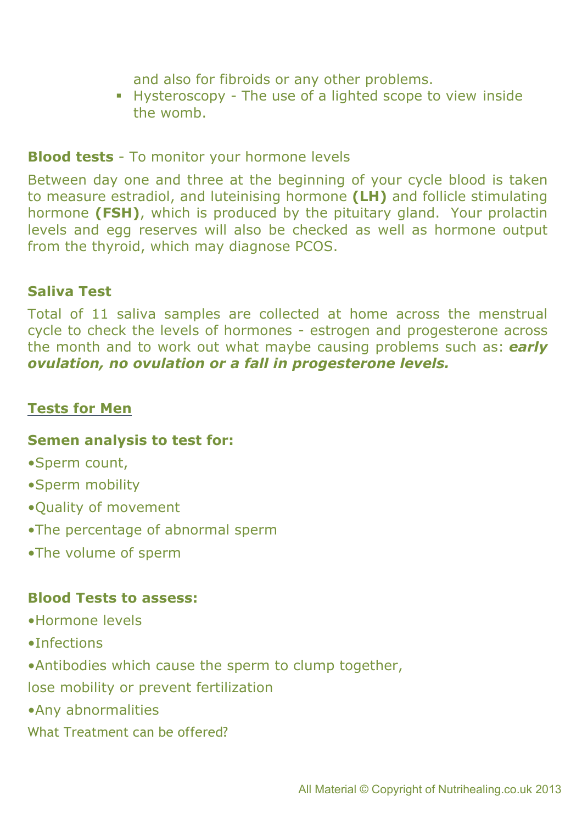and also for fibroids or any other problems.

! Hysteroscopy - The use of a lighted scope to view inside the womb.

**Blood tests** - To monitor your hormone levels

Between day one and three at the beginning of your cycle blood is taken to measure estradiol, and luteinising hormone **(LH)** and follicle stimulating hormone **(FSH)**, which is produced by the pituitary gland. Your prolactin levels and egg reserves will also be checked as well as hormone output from the thyroid, which may diagnose PCOS.

# **Saliva Test**

Total of 11 saliva samples are collected at home across the menstrual cycle to check the levels of hormones - estrogen and progesterone across the month and to work out what maybe causing problems such as: *early ovulation, no ovulation or a fall in progesterone levels.*

# **Tests for Men**

### **Semen analysis to test for:**

- •Sperm count,
- •Sperm mobility
- •Quality of movement
- •The percentage of abnormal sperm
- •The volume of sperm

### **Blood Tests to assess:**

- •Hormone levels
- •Infections
- •Antibodies which cause the sperm to clump together,
- lose mobility or prevent fertilization
- •Any abnormalities
- What Treatment can be offered?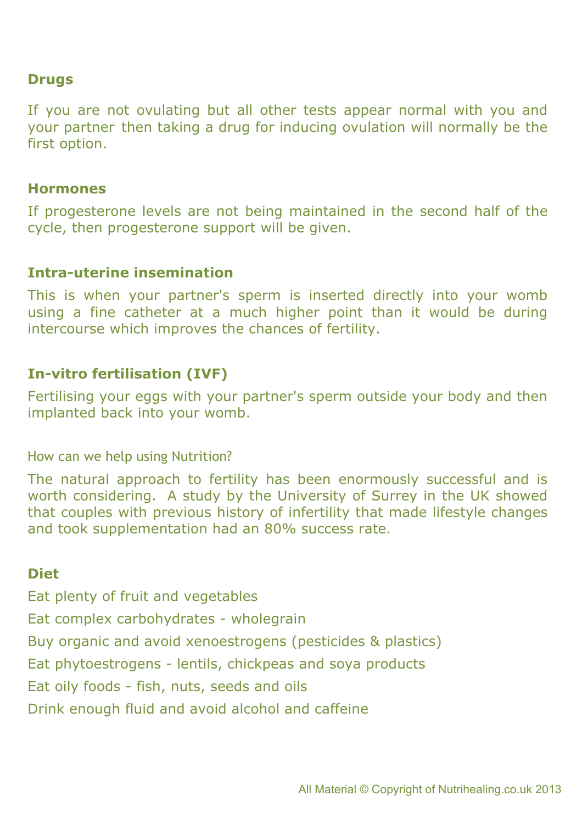#### **Drugs**

If you are not ovulating but all other tests appear normal with you and your partner then taking a drug for inducing ovulation will normally be the first option.

#### **Hormones**

If progesterone levels are not being maintained in the second half of the cycle, then progesterone support will be given.

#### **Intra-uterine insemination**

This is when your partner's sperm is inserted directly into your womb using a fine catheter at a much higher point than it would be during intercourse which improves the chances of fertility.

# **In-vitro fertilisation (IVF)**

Fertilising your eggs with your partner's sperm outside your body and then implanted back into your womb.

How can we help using Nutrition?

The natural approach to fertility has been enormously successful and is worth considering. A study by the University of Surrey in the UK showed that couples with previous history of infertility that made lifestyle changes and took supplementation had an 80% success rate.

### **Diet**

Eat plenty of fruit and vegetables Eat complex carbohydrates - wholegrain Buy organic and avoid xenoestrogens (pesticides & plastics) Eat phytoestrogens - lentils, chickpeas and soya products Eat oily foods - fish, nuts, seeds and oils Drink enough fluid and avoid alcohol and caffeine